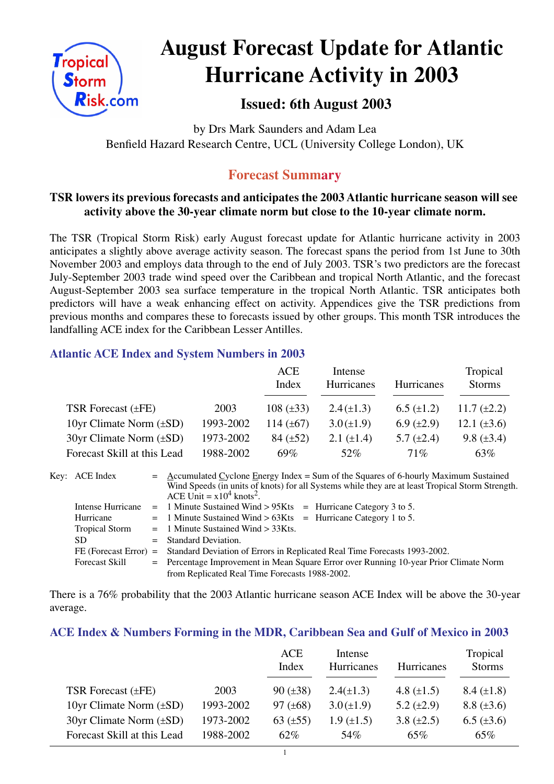

# **August Forecast Update for Atlantic Hurricane Activity in 2003**

# **Issued: 6th August 2003**

by Drs Mark Saunders and Adam Lea Benfield Hazard Research Centre, UCL (University College London), UK

## **Forecast Summary**

## **TSR lowers its previous forecasts and anticipates the 2003 Atlantic hurricane season will see activity above the 30-year climate norm but close to the 10-year climate norm.**

The TSR (Tropical Storm Risk) early August forecast update for Atlantic hurricane activity in 2003 anticipates a slightly above average activity season. The forecast spans the period from 1st June to 30th November 2003 and employs data through to the end of July 2003. TSR's two predictors are the forecast July-September 2003 trade wind speed over the Caribbean and tropical North Atlantic, and the forecast August-September 2003 sea surface temperature in the tropical North Atlantic. TSR anticipates both predictors will have a weak enhancing effect on activity. Appendices give the TSR predictions from previous months and compares these to forecasts issued by other groups. This month TSR introduces the landfalling ACE index for the Caribbean Lesser Antilles.

### **Atlantic ACE Index and System Numbers in 2003**

|                                |           | ACE<br>Index   | Intense<br><b>Hurricanes</b> | <b>Hurricanes</b> | Tropical<br><b>Storms</b> |
|--------------------------------|-----------|----------------|------------------------------|-------------------|---------------------------|
| TSR Forecast $(\pm FE)$        | 2003      | $108 (\pm 33)$ | $2.4(\pm 1.3)$               | $6.5 \ (\pm 1.2)$ | 11.7 $(\pm 2.2)$          |
| 10yr Climate Norm $(\pm SD)$   | 1993-2002 | 114 $(\pm 67)$ | $3.0 (\pm 1.9)$              | 6.9 $(\pm 2.9)$   | 12.1 $(\pm 3.6)$          |
| $30yr$ Climate Norm $(\pm SD)$ | 1973-2002 | $84 (\pm 52)$  | 2.1 $(\pm 1.4)$              | 5.7 $(\pm 2.4)$   | 9.8 $(\pm 3.4)$           |
| Forecast Skill at this Lead    | 1988-2002 | 69%            | 52%                          | $71\%$            | 63%                       |

| Key: ACE Index        | $=$ Accumulated Cyclone Energy Index = Sum of the Squares of 6-hourly Maximum Sustained<br>Wind Speeds (in units of knots) for all Systems while they are at least Tropical Storm Strength.<br>ACE Unit = $x10^4$ knots <sup>2</sup> . |  |  |  |  |
|-----------------------|----------------------------------------------------------------------------------------------------------------------------------------------------------------------------------------------------------------------------------------|--|--|--|--|
| Intense Hurricane     | $=$ 1 Minute Sustained Wind > 95Kts $=$ Hurricane Category 3 to 5.                                                                                                                                                                     |  |  |  |  |
| Hurricane             | $=$ 1 Minute Sustained Wind > 63Kts $=$ Hurricane Category 1 to 5.                                                                                                                                                                     |  |  |  |  |
| <b>Tropical Storm</b> | $=$ 1 Minute Sustained Wind $>$ 33Kts.                                                                                                                                                                                                 |  |  |  |  |
| SD.                   | $=$ Standard Deviation.                                                                                                                                                                                                                |  |  |  |  |
|                       | FE (Forecast Error) = Standard Deviation of Errors in Replicated Real Time Forecasts 1993-2002.                                                                                                                                        |  |  |  |  |
| <b>Forecast Skill</b> | = Percentage Improvement in Mean Square Error over Running 10-year Prior Climate Norm                                                                                                                                                  |  |  |  |  |
|                       | from Replicated Real Time Forecasts 1988-2002.                                                                                                                                                                                         |  |  |  |  |

There is a 76% probability that the 2003 Atlantic hurricane season ACE Index will be above the 30-year average.

#### **ACE Index & Numbers Forming in the MDR, Caribbean Sea and Gulf of Mexico in 2003**

|                                |           | <b>ACE</b><br>Index | Intense<br><b>Hurricanes</b> | <b>Hurricanes</b> | Tropical<br><b>Storms</b> |
|--------------------------------|-----------|---------------------|------------------------------|-------------------|---------------------------|
| TSR Forecast $(\pm FE)$        | 2003      | $90 (\pm 38)$       | $2.4(\pm 1.3)$               | 4.8 $(\pm 1.5)$   | $8.4 \ (\pm 1.8)$         |
| 10yr Climate Norm $(\pm SD)$   | 1993-2002 | 97 $(\pm 68)$       | $3.0 (\pm 1.9)$              | 5.2 $(\pm 2.9)$   | $8.8 (\pm 3.6)$           |
| $30yr$ Climate Norm $(\pm SD)$ | 1973-2002 | 63 $(\pm 55)$       | $1.9 \ (\pm 1.5)$            | 3.8 $(\pm 2.5)$   | $6.5 (\pm 3.6)$           |
| Forecast Skill at this Lead    | 1988-2002 | 62%                 | 54%                          | 65%               | 65%                       |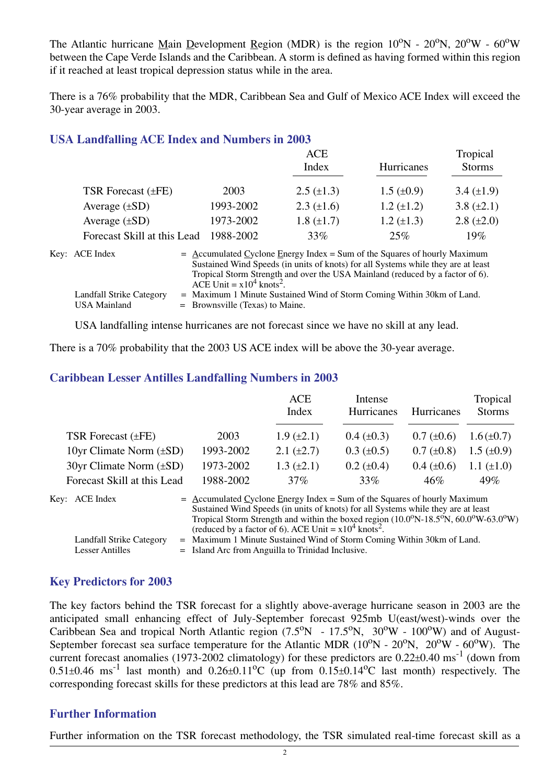The Atlantic hurricane Main Development Region (MDR) is the region  $10^{\circ}$ N -  $20^{\circ}$ N,  $20^{\circ}$ W -  $60^{\circ}$ W between the Cape Verde Islands and the Caribbean. A storm is defined as having formed within this region if it reached at least tropical depression status while in the area.

There is a 76% probability that the MDR, Caribbean Sea and Gulf of Mexico ACE Index will exceed the 30-year average in 2003.

#### **USA Landfalling ACE Index and Numbers in 2003**

|                             |           | ACE               |                   | Tropical        |
|-----------------------------|-----------|-------------------|-------------------|-----------------|
|                             |           | Index             | <b>Hurricanes</b> | <b>Storms</b>   |
|                             |           |                   |                   |                 |
| TSR Forecast $(\pm FE)$     | 2003      | $2.5 \ (\pm 1.3)$ | $1.5 \ (\pm 0.9)$ | 3.4 $(\pm 1.9)$ |
| Average $(\pm SD)$          | 1993-2002 | $2.3 \ (\pm 1.6)$ | $1.2 (\pm 1.2)$   | 3.8 $(\pm 2.1)$ |
| Average $(\pm SD)$          | 1973-2002 | $1.8 (\pm 1.7)$   | $1.2 \ (\pm 1.3)$ | $2.8 (\pm 2.0)$ |
| Forecast Skill at this Lead | 1988-2002 | 33%               | 25%               | 19%             |

| Key: ACE Index                           | $=$ Accumulated Cyclone Energy Index = Sum of the Squares of hourly Maximum<br>Sustained Wind Speeds (in units of knots) for all Systems while they are at least<br>Tropical Storm Strength and over the USA Mainland (reduced by a factor of 6).<br>ACE Unit = $x10^4$ knots <sup>2</sup> . |
|------------------------------------------|----------------------------------------------------------------------------------------------------------------------------------------------------------------------------------------------------------------------------------------------------------------------------------------------|
| Landfall Strike Category<br>USA Mainland | = Maximum 1 Minute Sustained Wind of Storm Coming Within 30km of Land.<br>$=$ Brownsville (Texas) to Maine.                                                                                                                                                                                  |

USA landfalling intense hurricanes are not forecast since we have no skill at any lead.

There is a 70% probability that the 2003 US ACE index will be above the 30-year average.

#### **Caribbean Lesser Antilles Landfalling Numbers in 2003**

|                                |           | <b>ACE</b><br>Index | Intense<br><b>Hurricanes</b> | <b>Hurricanes</b> | Tropical<br><b>Storms</b> |
|--------------------------------|-----------|---------------------|------------------------------|-------------------|---------------------------|
| TSR Forecast $(\pm FE)$        | 2003      | $1.9 \ (\pm 2.1)$   | $0.4~(\pm 0.3)$              | $0.7 (\pm 0.6)$   | $1.6(\pm 0.7)$            |
| 10yr Climate Norm $(\pm SD)$   | 1993-2002 | 2.1 $(\pm 2.7)$     | $0.3 \ (\pm 0.5)$            | $0.7 (\pm 0.8)$   | $1.5 \ (\pm 0.9)$         |
| $30yr$ Climate Norm $(\pm SD)$ | 1973-2002 | $1.3 \ (\pm 2.1)$   | $0.2 \ (\pm 0.4)$            | $0.4~(\pm 0.6)$   | 1.1 $(\pm 1.0)$           |
| Forecast Skill at this Lead    | 1988-2002 | $37\%$              | 33%                          | $46\%$            | 49%                       |

| Key: ACE Index                              | $=$ Accumulated Cyclone Energy Index = Sum of the Squares of hourly Maximum<br>Sustained Wind Speeds (in units of knots) for all Systems while they are at least<br>Tropical Storm Strength and within the boxed region (10.0°N-18.5°N, 60.0°W-63.0°W)<br>(reduced by a factor of 6). ACE Unit = $x10^4$ knots <sup>2</sup> . |
|---------------------------------------------|-------------------------------------------------------------------------------------------------------------------------------------------------------------------------------------------------------------------------------------------------------------------------------------------------------------------------------|
| Landfall Strike Category<br>Lesser Antilles | = Maximum 1 Minute Sustained Wind of Storm Coming Within 30km of Land.<br>$=$ Island Arc from Anguilla to Trinidad Inclusive.                                                                                                                                                                                                 |

### **Key Predictors for 2003**

The key factors behind the TSR forecast for a slightly above-average hurricane season in 2003 are the anticipated small enhancing effect of July-September forecast 925mb U(east/west)-winds over the Caribbean Sea and tropical North Atlantic region  $(7.5^{\circ}N - 17.5^{\circ}N, 30^{\circ}W - 100^{\circ}W)$  and of August-September forecast sea surface temperature for the Atlantic MDR  $(10^0$ N -  $20^0$ N,  $20^0$ W -  $60^0$ W). The current forecast anomalies (1973-2002 climatology) for these predictors are  $0.22\pm0.40$  ms<sup>-1</sup> (down from  $0.51\pm0.46$  ms<sup>-1</sup> last month) and  $0.26\pm0.11^{\circ}$ C (up from  $0.15\pm0.14^{\circ}$ C last month) respectively. The corresponding forecast skills for these predictors at this lead are 78% and 85%.

#### **Further Information**

Further information on the TSR forecast methodology, the TSR simulated real-time forecast skill as a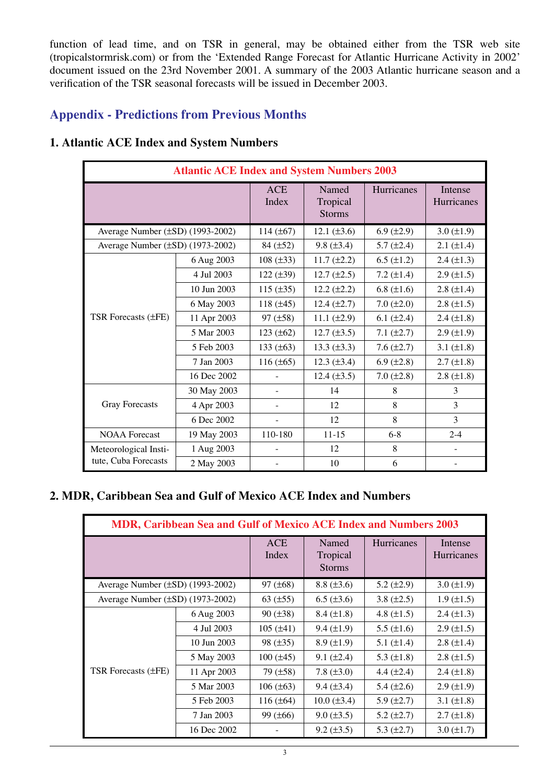function of lead time, and on TSR in general, may be obtained either from the TSR web site (tropicalstormrisk.com) or from the 'Extended Range Forecast for Atlantic Hurricane Activity in 2002' document issued on the 23rd November 2001. A summary of the 2003 Atlantic hurricane season and a verification of the TSR seasonal forecasts will be issued in December 2003.

## **Appendix - Predictions from Previous Months**

| <b>Atlantic ACE Index and System Numbers 2003</b> |             |                     |                                    |                   |                       |  |
|---------------------------------------------------|-------------|---------------------|------------------------------------|-------------------|-----------------------|--|
|                                                   |             | <b>ACE</b><br>Index | Named<br>Tropical<br><b>Storms</b> | Hurricanes        | Intense<br>Hurricanes |  |
| Average Number $(\pm SD)$ (1993-2002)             |             | 114 $(\pm 67)$      | 12.1 $(\pm 3.6)$                   | $6.9 \ (\pm 2.9)$ | $3.0 (\pm 1.9)$       |  |
| Average Number (±SD) (1973-2002)                  |             | $84 (\pm 52)$       | $9.8 (\pm 3.4)$                    | $5.7 (\pm 2.4)$   | $2.1 (\pm 1.4)$       |  |
|                                                   | 6 Aug 2003  | $108 (\pm 33)$      | $11.7 (\pm 2.2)$                   | $6.5 (\pm 1.2)$   | $2.4 (\pm 1.3)$       |  |
|                                                   | 4 Jul 2003  | $122 (\pm 39)$      | $12.7 (\pm 2.5)$                   | 7.2 $(\pm 1.4)$   | $2.9 \ (\pm 1.5)$     |  |
|                                                   | 10 Jun 2003 | 115 $(\pm 35)$      | $12.2 (\pm 2.2)$                   | 6.8 $(\pm 1.6)$   | $2.8 (\pm 1.4)$       |  |
|                                                   | 6 May 2003  | 118 $(\pm 45)$      | $12.4 \ (\pm 2.7)$                 | $7.0 (\pm 2.0)$   | $2.8 (\pm 1.5)$       |  |
| <b>TSR Forecasts (±FE)</b>                        | 11 Apr 2003 | $97 (\pm 58)$       | 11.1 $(\pm 2.9)$                   | 6.1 $(\pm 2.4)$   | $2.4 (\pm 1.8)$       |  |
|                                                   | 5 Mar 2003  | $123 (\pm 62)$      | $12.7 (\pm 3.5)$                   | $7.1 (\pm 2.7)$   | $2.9 \ (\pm 1.9)$     |  |
|                                                   | 5 Feb 2003  | 133 $(\pm 63)$      | 13.3 $(\pm 3.3)$                   | $7.6 (\pm 2.7)$   | 3.1 $(\pm 1.8)$       |  |
|                                                   | 7 Jan 2003  | $116 (\pm 65)$      | $12.3 \ (\pm 3.4)$                 | 6.9 $(\pm 2.8)$   | $2.7 (\pm 1.8)$       |  |
|                                                   | 16 Dec 2002 |                     | $12.4 (\pm 3.5)$                   | $7.0 (\pm 2.8)$   | $2.8 (\pm 1.8)$       |  |
|                                                   | 30 May 2003 |                     | 14                                 | 8                 | 3                     |  |
| <b>Gray Forecasts</b>                             | 4 Apr 2003  |                     | 12                                 | 8                 | 3                     |  |
|                                                   | 6 Dec 2002  |                     | 12                                 | 8                 | 3                     |  |
| <b>NOAA</b> Forecast                              | 19 May 2003 | 110-180             | $11 - 15$                          | $6 - 8$           | $2 - 4$               |  |
| Meteorological Insti-                             | 1 Aug 2003  |                     | 12                                 | 8                 |                       |  |
| tute, Cuba Forecasts                              | 2 May 2003  |                     | 10                                 | 6                 |                       |  |

## **1. Atlantic ACE Index and System Numbers**

## **2. MDR, Caribbean Sea and Gulf of Mexico ACE Index and Numbers**

| MDR, Caribbean Sea and Gulf of Mexico ACE Index and Numbers 2003 |             |                     |                                    |                   |                       |  |  |
|------------------------------------------------------------------|-------------|---------------------|------------------------------------|-------------------|-----------------------|--|--|
|                                                                  |             | <b>ACE</b><br>Index | Named<br>Tropical<br><b>Storms</b> | <b>Hurricanes</b> | Intense<br>Hurricanes |  |  |
| Average Number $(\pm SD)$ (1993-2002)                            |             | $97 (\pm 68)$       | $8.8 (\pm 3.6)$                    | 5.2 $(\pm 2.9)$   | $3.0 (\pm 1.9)$       |  |  |
| Average Number $(\pm SD)$ (1973-2002)                            |             | 63 $(\pm 55)$       | $6.5 (\pm 3.6)$                    | 3.8 $(\pm 2.5)$   | $1.9 \ (\pm 1.5)$     |  |  |
|                                                                  | 6 Aug 2003  | $90 (\pm 38)$       | $8.4 \ (\pm 1.8)$                  | 4.8 $(\pm 1.5)$   | 2.4 $(\pm 1.3)$       |  |  |
|                                                                  | 4 Jul 2003  | $105 (\pm 41)$      | $9.4 (\pm 1.9)$                    | 5.5 $(\pm 1.6)$   | $2.9 \ (\pm 1.5)$     |  |  |
|                                                                  | 10 Jun 2003 | $98 (\pm 35)$       | $8.9 \ (\pm 1.9)$                  | 5.1 $(\pm 1.4)$   | $2.8 \ (\pm 1.4)$     |  |  |
|                                                                  | 5 May 2003  | $100 (\pm 45)$      | $9.1 (\pm 2.4)$                    | 5.3 $(\pm 1.8)$   | $2.8 \ (\pm 1.5)$     |  |  |
| TSR Forecasts (±FE)                                              | 11 Apr 2003 | 79 (±58)            | 7.8 $(\pm 3.0)$                    | 4.4 $(\pm 2.4)$   | $2.4 (\pm 1.8)$       |  |  |
|                                                                  | 5 Mar 2003  | $106 (\pm 63)$      | $9.4 \ (\pm 3.4)$                  | 5.4 $(\pm 2.6)$   | $2.9 \ (\pm 1.9)$     |  |  |
|                                                                  | 5 Feb 2003  | 116 $(\pm 64)$      | $10.0 (\pm 3.4)$                   | $5.9 \ (\pm 2.7)$ | 3.1 $(\pm 1.8)$       |  |  |
|                                                                  | 7 Jan 2003  | $99 (\pm 66)$       | $9.0 \ (\pm 3.5)$                  | 5.2 $(\pm 2.7)$   | $2.7 \ (\pm 1.8)$     |  |  |
|                                                                  | 16 Dec 2002 |                     | $9.2 \ (\pm 3.5)$                  | 5.3 $(\pm 2.7)$   | $3.0 \ (\pm 1.7)$     |  |  |